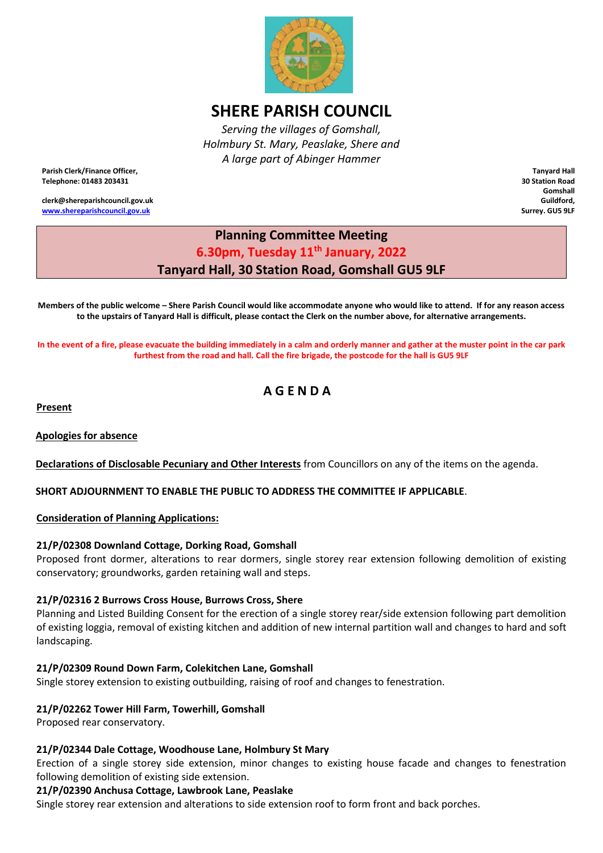

# **SHERE PARISH COUNCIL**

*Serving the villages of Gomshall, Holmbury St. Mary, Peaslake, Shere and A large part of Abinger Hammer*

**Parish Clerk/Finance Officer, Telephone: 01483 203431**

**clerk@shereparishcouncil.gov.uk [www.shereparishcouncil.gov.uk](http://www.shereparishcouncil.gov.uk/)**

**Tanyard Hall 30 Station Road Gomshall Guildford, Surrey. GU5 9LF**

# **Planning Committee Meeting 6.30pm, Tuesday 11th January, 2022 Tanyard Hall, 30 Station Road, Gomshall GU5 9LF**

**Members of the public welcome – Shere Parish Council would like accommodate anyone who would like to attend. If for any reason access to the upstairs of Tanyard Hall is difficult, please contact the Clerk on the number above, for alternative arrangements.** 

**In the event of a fire, please evacuate the building immediately in a calm and orderly manner and gather at the muster point in the car park furthest from the road and hall. Call the fire brigade, the postcode for the hall is GU5 9LF** 

# **A G E N D A**

**Present**

**Apologies for absence** 

**Declarations of Disclosable Pecuniary and Other Interests** from Councillors on any of the items on the agenda.

**SHORT ADJOURNMENT TO ENABLE THE PUBLIC TO ADDRESS THE COMMITTEE IF APPLICABLE**.

**Consideration of Planning Applications:**

#### **21/P/02308 Downland Cottage, Dorking Road, Gomshall**

Proposed front dormer, alterations to rear dormers, single storey rear extension following demolition of existing conservatory; groundworks, garden retaining wall and steps.

#### **21/P/02316 2 Burrows Cross House, Burrows Cross, Shere**

Planning and Listed Building Consent for the erection of a single storey rear/side extension following part demolition of existing loggia, removal of existing kitchen and addition of new internal partition wall and changes to hard and soft landscaping.

# **21/P/02309 Round Down Farm, Colekitchen Lane, Gomshall**

Single storey extension to existing outbuilding, raising of roof and changes to fenestration.

# **21/P/02262 Tower Hill Farm, Towerhill, Gomshall**

Proposed rear conservatory.

#### **21/P/02344 Dale Cottage, Woodhouse Lane, Holmbury St Mary**

Erection of a single storey side extension, minor changes to existing house facade and changes to fenestration following demolition of existing side extension.

#### **21/P/02390 Anchusa Cottage, Lawbrook Lane, Peaslake**

Single storey rear extension and alterations to side extension roof to form front and back porches.